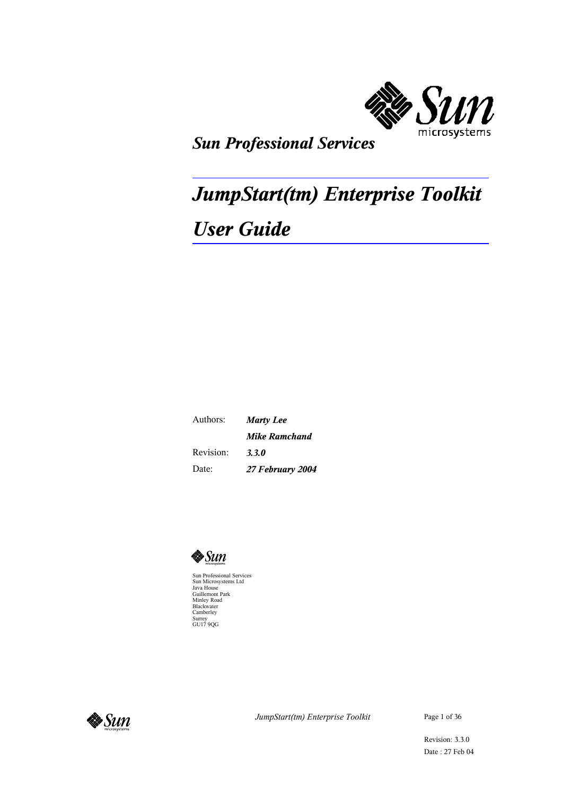

## *Sun Professional Services*

# *JumpStart(tm) Enterprise Toolkit User Guide*

Authors: Revision: Date: *Marty Lee Mike Ramchand 3.3.0 27 February 2004*



Sun Professional Services Sun Microsystems Ltd Java House Guillemont Park Minley Road Blackwater Camberley Surrey GU17 9QG



*JumpStart(tm) Enterprise Toolkit* Page 1 of 36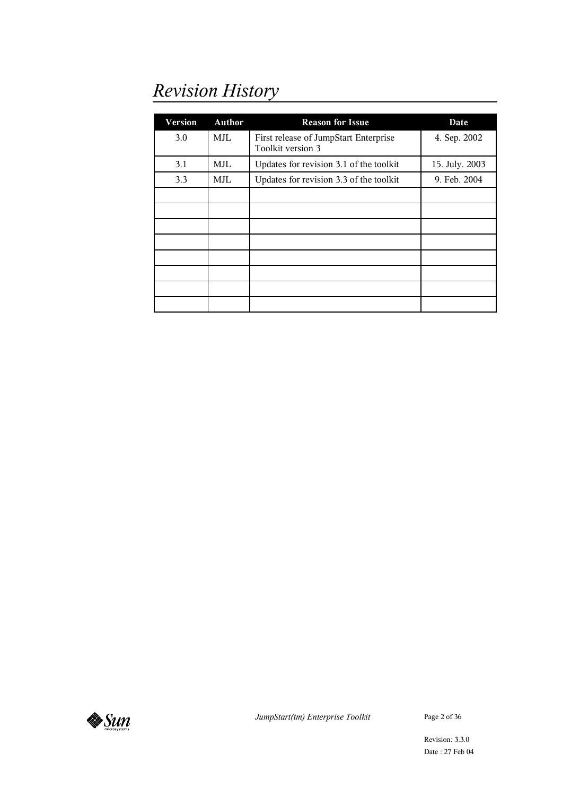## *Revision History*

| <b>Version</b> | <b>Author</b> | <b>Reason for Issue</b>                                    | Date           |
|----------------|---------------|------------------------------------------------------------|----------------|
| 3.0            | MJL           | First release of JumpStart Enterprise<br>Toolkit version 3 | 4. Sep. 2002   |
| 3.1            | MJL           | Updates for revision 3.1 of the toolkit                    | 15. July. 2003 |
| 3.3            | MJL           | Updates for revision 3.3 of the toolkit                    | 9. Feb. 2004   |
|                |               |                                                            |                |
|                |               |                                                            |                |
|                |               |                                                            |                |
|                |               |                                                            |                |
|                |               |                                                            |                |
|                |               |                                                            |                |
|                |               |                                                            |                |
|                |               |                                                            |                |



*JumpStart(tm) Enterprise Toolkit* Page 2 of 36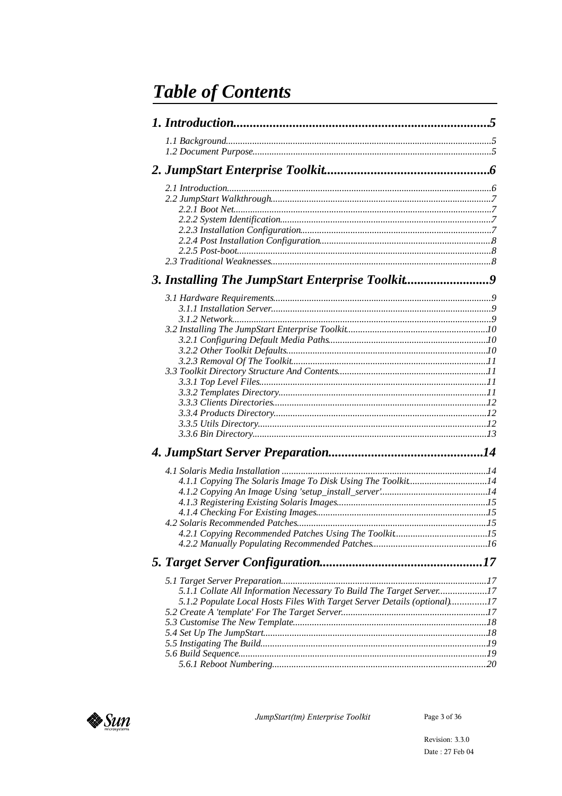## **Table of Contents**

| 3. Installing The JumpStart Enterprise Toolkit9                          |  |
|--------------------------------------------------------------------------|--|
|                                                                          |  |
|                                                                          |  |
|                                                                          |  |
|                                                                          |  |
|                                                                          |  |
|                                                                          |  |
|                                                                          |  |
|                                                                          |  |
|                                                                          |  |
|                                                                          |  |
|                                                                          |  |
|                                                                          |  |
|                                                                          |  |
|                                                                          |  |
|                                                                          |  |
| 4.1.1 Copying The Solaris Image To Disk Using The Toolkit14              |  |
|                                                                          |  |
|                                                                          |  |
|                                                                          |  |
|                                                                          |  |
|                                                                          |  |
|                                                                          |  |
|                                                                          |  |
|                                                                          |  |
| 5.1.1 Collate All Information Necessary To Build The Target Server17     |  |
| 5.1.2 Populate Local Hosts Files With Target Server Details (optional)17 |  |
|                                                                          |  |
|                                                                          |  |
|                                                                          |  |
|                                                                          |  |
|                                                                          |  |
|                                                                          |  |



JumpStart(tm) Enterprise Toolkit

Page 3 of  $36\,$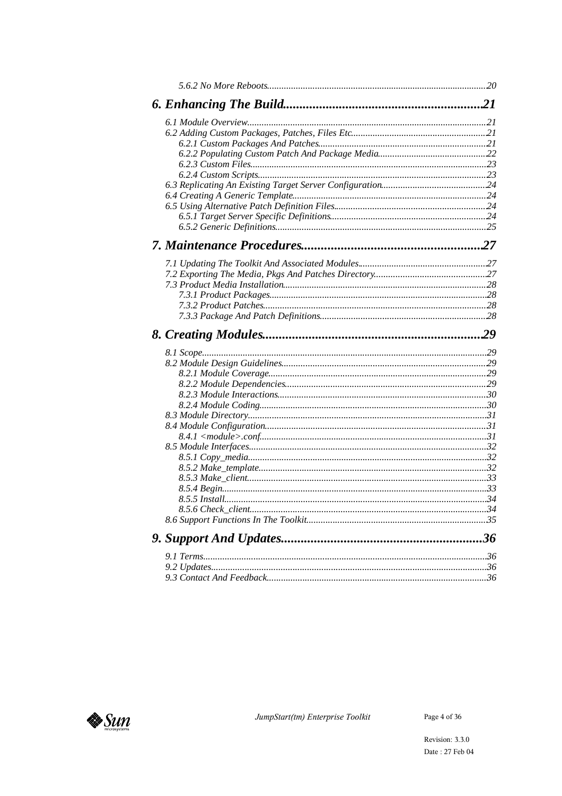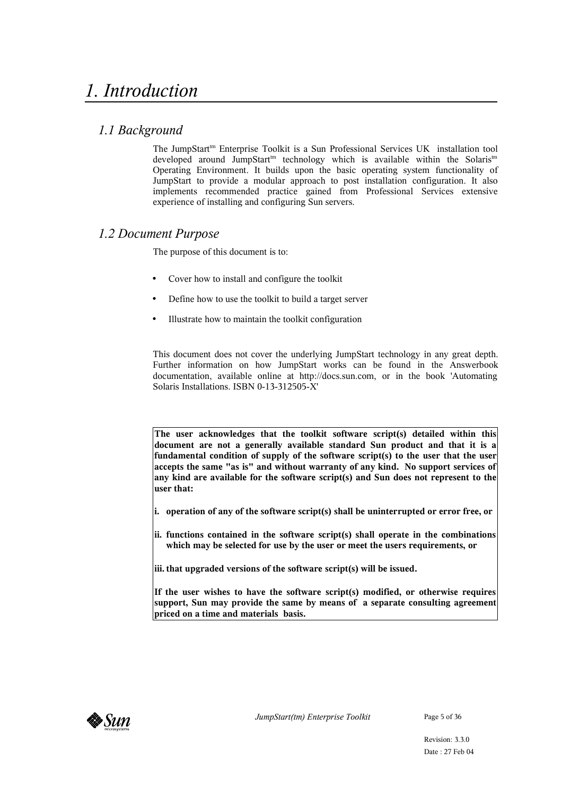## *1.1 Background*

The JumpStart<sup>tm</sup> Enterprise Toolkit is a Sun Professional Services UK installation tool developed around JumpStart<sup>tm</sup> technology which is available within the Solaris<sup>tm</sup> Operating Environment. It builds upon the basic operating system functionality of JumpStart to provide a modular approach to post installation configuration. It also implements recommended practice gained from Professional Services extensive experience of installing and configuring Sun servers.

## *1.2 Document Purpose*

The purpose of this document is to:

- Cover how to install and configure the toolkit
- Define how to use the toolkit to build a target server
- Illustrate how to maintain the toolkit configuration

This document does not cover the underlying JumpStart technology in any great depth. Further information on how JumpStart works can be found in the Answerbook documentation, available online at http://docs.sun.com, or in the book 'Automating Solaris Installations. ISBN 0-13-312505-X'

**The user acknowledges that the toolkit software script(s) detailed within this document are not a generally available standard Sun product and that it is a fundamental condition of supply of the software script(s) to the user that the user accepts the same "as is" and without warranty of any kind. No support services of any kind are available for the software script(s) and Sun does not represent to the user that:**

- **i. operation of any of the software script(s) shall be uninterrupted or error free, or**
- **ii. functions contained in the software script(s) shall operate in the combinations which may be selected for use by the user or meet the users requirements, or**

**iii. that upgraded versions of the software script(s) will be issued.**

**If the user wishes to have the software script(s) modified, or otherwise requires support, Sun may provide the same by means of a separate consulting agreement priced on a time and materials basis.**

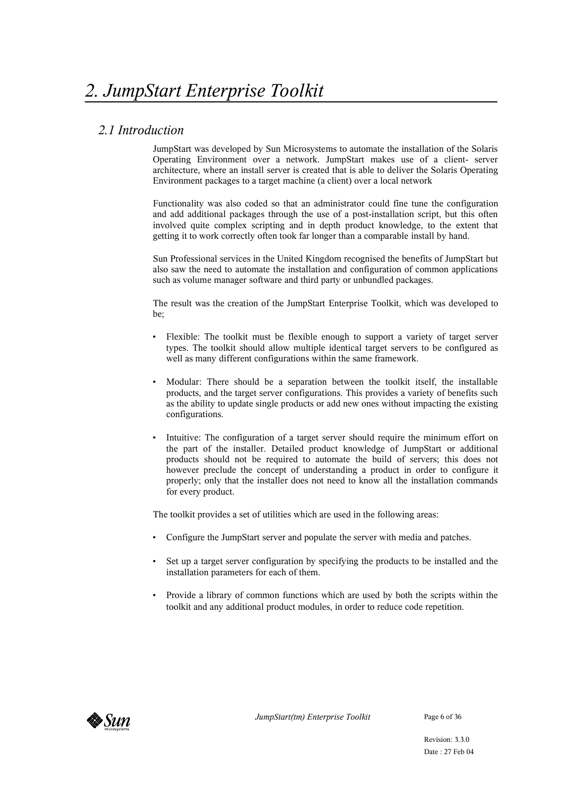## *2.1 Introduction*

JumpStart was developed by Sun Microsystems to automate the installation of the Solaris Operating Environment over a network. JumpStart makes use of a client- server architecture, where an install server is created that is able to deliver the Solaris Operating Environment packages to a target machine (a client) over a local network

Functionality was also coded so that an administrator could fine tune the configuration and add additional packages through the use of a post-installation script, but this often involved quite complex scripting and in depth product knowledge, to the extent that getting it to work correctly often took far longer than a comparable install by hand.

Sun Professional services in the United Kingdom recognised the benefits of JumpStart but also saw the need to automate the installation and configuration of common applications such as volume manager software and third party or unbundled packages.

The result was the creation of the JumpStart Enterprise Toolkit, which was developed to be;

- Flexible: The toolkit must be flexible enough to support a variety of target server types. The toolkit should allow multiple identical target servers to be configured as well as many different configurations within the same framework.
- Modular: There should be a separation between the toolkit itself, the installable products, and the target server configurations. This provides a variety of benefits such as the ability to update single products or add new ones without impacting the existing configurations.
- Intuitive: The configuration of a target server should require the minimum effort on the part of the installer. Detailed product knowledge of JumpStart or additional products should not be required to automate the build of servers; this does not however preclude the concept of understanding a product in order to configure it properly; only that the installer does not need to know all the installation commands for every product.

The toolkit provides a set of utilities which are used in the following areas:

- Configure the JumpStart server and populate the server with media and patches.
- Set up a target server configuration by specifying the products to be installed and the installation parameters for each of them.
- Provide a library of common functions which are used by both the scripts within the toolkit and any additional product modules, in order to reduce code repetition.

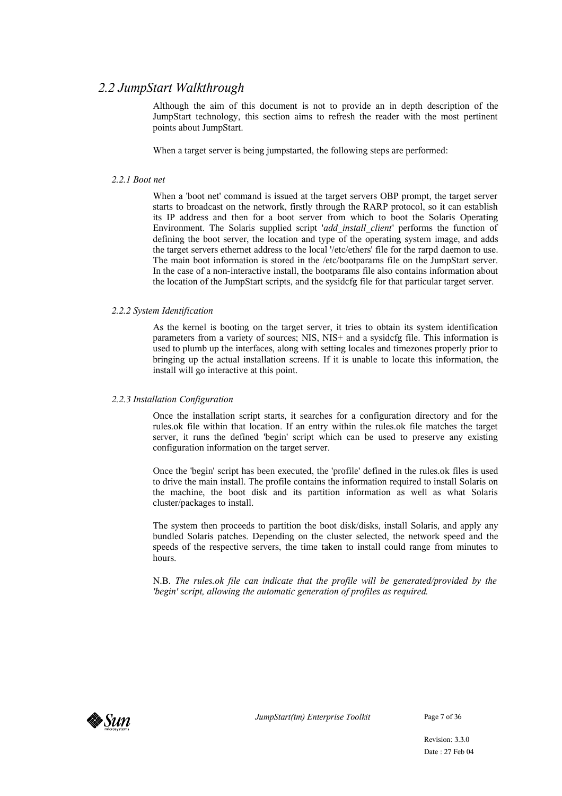## *2.2 JumpStart Walkthrough*

Although the aim of this document is not to provide an in depth description of the JumpStart technology, this section aims to refresh the reader with the most pertinent points about JumpStart.

When a target server is being jumpstarted, the following steps are performed:

#### *2.2.1 Boot net*

When a 'boot net' command is issued at the target servers OBP prompt, the target server starts to broadcast on the network, firstly through the RARP protocol, so it can establish its IP address and then for a boot server from which to boot the Solaris Operating Environment. The Solaris supplied script '*add\_install\_client*' performs the function of defining the boot server, the location and type of the operating system image, and adds the target servers ethernet address to the local '/etc/ethers' file for the rarpd daemon to use. The main boot information is stored in the /etc/bootparams file on the JumpStart server. In the case of a non-interactive install, the bootparams file also contains information about the location of the JumpStart scripts, and the sysidcfg file for that particular target server.

#### *2.2.2 System Identification*

As the kernel is booting on the target server, it tries to obtain its system identification parameters from a variety of sources; NIS, NIS+ and a sysidcfg file. This information is used to plumb up the interfaces, along with setting locales and timezones properly prior to bringing up the actual installation screens. If it is unable to locate this information, the install will go interactive at this point.

#### *2.2.3 Installation Configuration*

Once the installation script starts, it searches for a configuration directory and for the rules.ok file within that location. If an entry within the rules.ok file matches the target server, it runs the defined 'begin' script which can be used to preserve any existing configuration information on the target server.

Once the 'begin' script has been executed, the 'profile' defined in the rules.ok files is used to drive the main install. The profile contains the information required to install Solaris on the machine, the boot disk and its partition information as well as what Solaris cluster/packages to install.

The system then proceeds to partition the boot disk/disks, install Solaris, and apply any bundled Solaris patches. Depending on the cluster selected, the network speed and the speeds of the respective servers, the time taken to install could range from minutes to hours.

N.B. *The rules.ok file can indicate that the profile will be generated/provided by the 'begin' script, allowing the automatic generation of profiles as required.*



*JumpStart(tm) Enterprise Toolkit* Page 7 of 36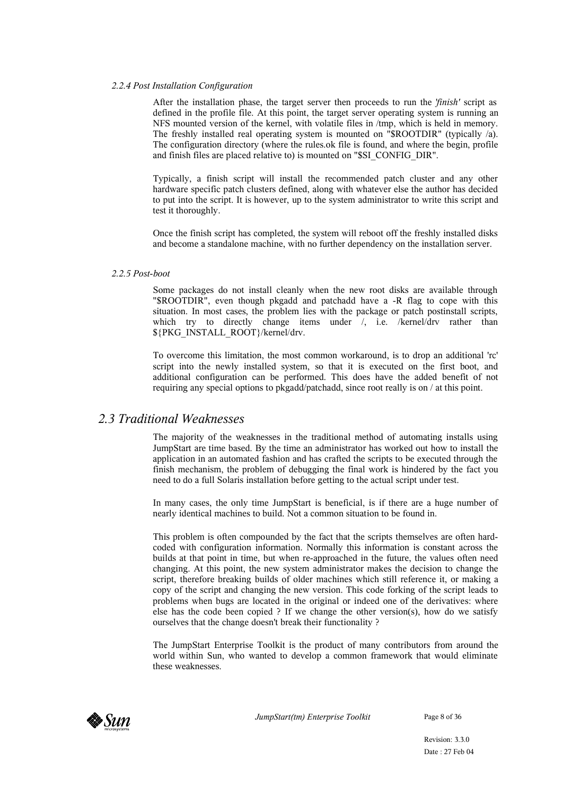#### *2.2.4 Post Installation Configuration*

After the installation phase, the target server then proceeds to run the '*finish'* script as defined in the profile file. At this point, the target server operating system is running an NFS mounted version of the kernel, with volatile files in /tmp, which is held in memory. The freshly installed real operating system is mounted on "\$ROOTDIR" (typically /a). The configuration directory (where the rules.ok file is found, and where the begin, profile and finish files are placed relative to) is mounted on "\$SI\_CONFIG\_DIR".

Typically, a finish script will install the recommended patch cluster and any other hardware specific patch clusters defined, along with whatever else the author has decided to put into the script. It is however, up to the system administrator to write this script and test it thoroughly.

Once the finish script has completed, the system will reboot off the freshly installed disks and become a standalone machine, with no further dependency on the installation server.

#### *2.2.5 Post-boot*

Some packages do not install cleanly when the new root disks are available through "\$ROOTDIR", even though pkgadd and patchadd have a -R flag to cope with this situation. In most cases, the problem lies with the package or patch postinstall scripts, which try to directly change items under /, i.e. /kernel/drv rather than \${PKG\_INSTALL\_ROOT}/kernel/drv.

To overcome this limitation, the most common workaround, is to drop an additional 'rc' script into the newly installed system, so that it is executed on the first boot, and additional configuration can be performed. This does have the added benefit of not requiring any special options to pkgadd/patchadd, since root really is on / at this point.

## *2.3 Traditional Weaknesses*

The majority of the weaknesses in the traditional method of automating installs using JumpStart are time based. By the time an administrator has worked out how to install the application in an automated fashion and has crafted the scripts to be executed through the finish mechanism, the problem of debugging the final work is hindered by the fact you need to do a full Solaris installation before getting to the actual script under test.

In many cases, the only time JumpStart is beneficial, is if there are a huge number of nearly identical machines to build. Not a common situation to be found in.

This problem is often compounded by the fact that the scripts themselves are often hardcoded with configuration information. Normally this information is constant across the builds at that point in time, but when re-approached in the future, the values often need changing. At this point, the new system administrator makes the decision to change the script, therefore breaking builds of older machines which still reference it, or making a copy of the script and changing the new version. This code forking of the script leads to problems when bugs are located in the original or indeed one of the derivatives: where else has the code been copied ? If we change the other version(s), how do we satisfy ourselves that the change doesn't break their functionality ?

The JumpStart Enterprise Toolkit is the product of many contributors from around the world within Sun, who wanted to develop a common framework that would eliminate these weaknesses.



*JumpStart(tm) Enterprise Toolkit* Page 8 of 36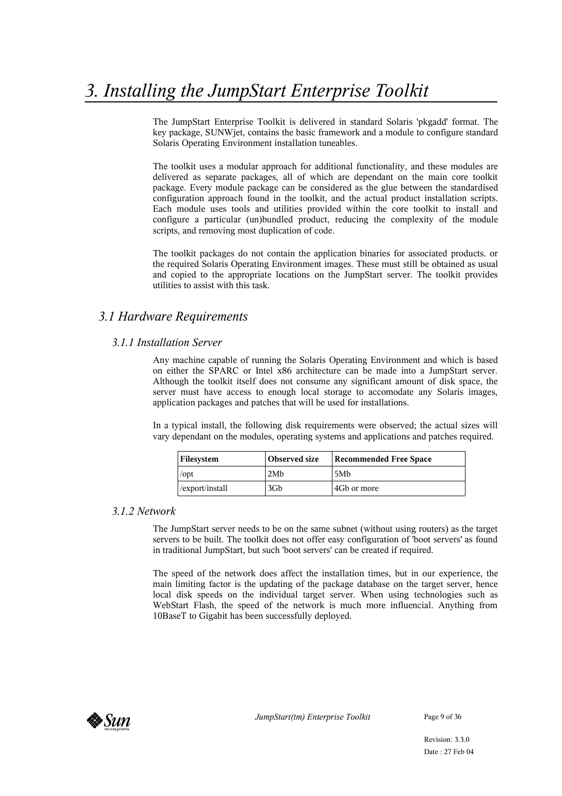The JumpStart Enterprise Toolkit is delivered in standard Solaris 'pkgadd' format. The key package, SUNWjet, contains the basic framework and a module to configure standard Solaris Operating Environment installation tuneables.

The toolkit uses a modular approach for additional functionality, and these modules are delivered as separate packages, all of which are dependant on the main core toolkit package. Every module package can be considered as the glue between the standardised configuration approach found in the toolkit, and the actual product installation scripts. Each module uses tools and utilities provided within the core toolkit to install and configure a particular (un)bundled product, reducing the complexity of the module scripts, and removing most duplication of code.

The toolkit packages do not contain the application binaries for associated products. or the required Solaris Operating Environment images. These must still be obtained as usual and copied to the appropriate locations on the JumpStart server. The toolkit provides utilities to assist with this task.

## *3.1 Hardware Requirements*

## *3.1.1 Installation Server*

Any machine capable of running the Solaris Operating Environment and which is based on either the SPARC or Intel x86 architecture can be made into a JumpStart server. Although the toolkit itself does not consume any significant amount of disk space, the server must have access to enough local storage to accomodate any Solaris images, application packages and patches that will be used for installations.

In a typical install, the following disk requirements were observed; the actual sizes will vary dependant on the modules, operating systems and applications and patches required.

| Filesystem      | Observed size | <b>Recommended Free Space</b> |
|-----------------|---------------|-------------------------------|
| $\sqrt{opt}$    | 2Mh           | 5M <sub>b</sub>               |
| /export/install | 3Gb           | 4Gb or more                   |

#### *3.1.2 Network*

The JumpStart server needs to be on the same subnet (without using routers) as the target servers to be built. The toolkit does not offer easy configuration of 'boot servers' as found in traditional JumpStart, but such 'boot servers' can be created if required.

The speed of the network does affect the installation times, but in our experience, the main limiting factor is the updating of the package database on the target server, hence local disk speeds on the individual target server. When using technologies such as WebStart Flash, the speed of the network is much more influencial. Anything from 10BaseT to Gigabit has been successfully deployed.

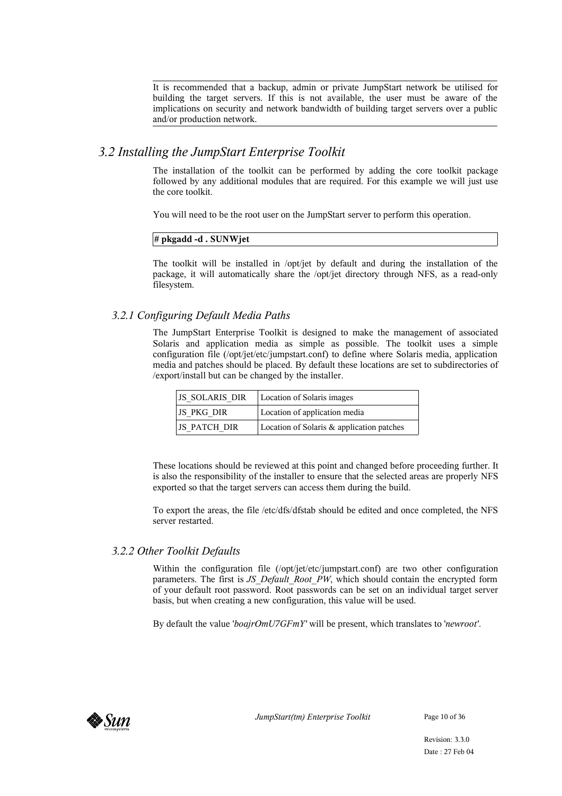It is recommended that a backup, admin or private JumpStart network be utilised for building the target servers. If this is not available, the user must be aware of the implications on security and network bandwidth of building target servers over a public and/or production network.

## *3.2 Installing the JumpStart Enterprise Toolkit*

The installation of the toolkit can be performed by adding the core toolkit package followed by any additional modules that are required. For this example we will just use the core toolkit.

You will need to be the root user on the JumpStart server to perform this operation.

#### **# pkgadd -d . SUNWjet**

The toolkit will be installed in /opt/jet by default and during the installation of the package, it will automatically share the /opt/jet directory through NFS, as a read-only filesystem.

## *3.2.1 Configuring Default Media Paths*

The JumpStart Enterprise Toolkit is designed to make the management of associated Solaris and application media as simple as possible. The toolkit uses a simple configuration file (/opt/jet/etc/jumpstart.conf) to define where Solaris media, application media and patches should be placed. By default these locations are set to subdirectories of /export/install but can be changed by the installer.

| <b>JS SOLARIS DIR</b> | Location of Solaris images                |
|-----------------------|-------------------------------------------|
| <b>JS PKG DIR</b>     | Location of application media             |
| <b>IS PATCH DIR</b>   | Location of Solaris & application patches |

These locations should be reviewed at this point and changed before proceeding further. It is also the responsibility of the installer to ensure that the selected areas are properly NFS exported so that the target servers can access them during the build.

To export the areas, the file /etc/dfs/dfstab should be edited and once completed, the NFS server restarted.

## *3.2.2 Other Toolkit Defaults*

Within the configuration file (/opt/jet/etc/jumpstart.conf) are two other configuration parameters. The first is *JS\_Default\_Root\_PW*, which should contain the encrypted form of your default root password. Root passwords can be set on an individual target server basis, but when creating a new configuration, this value will be used.

By default the value '*boajrOmU7GFmY'* will be present, which translates to '*newroot'*.

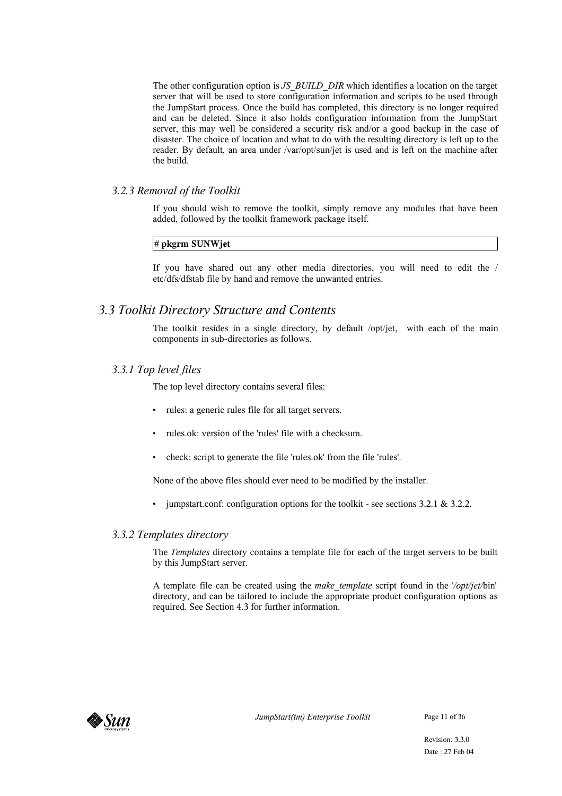The other configuration option is *JS\_BUILD\_DIR* which identifies a location on the target server that will be used to store configuration information and scripts to be used through the JumpStart process. Once the build has completed, this directory is no longer required and can be deleted. Since it also holds configuration information from the JumpStart server, this may well be considered a security risk and/or a good backup in the case of disaster. The choice of location and what to do with the resulting directory is left up to the reader. By default, an area under /var/opt/sun/jet is used and is left on the machine after the build.

#### *3.2.3 Removal of the Toolkit*

If you should wish to remove the toolkit, simply remove any modules that have been added, followed by the toolkit framework package itself.

#### **# pkgrm SUNWjet**

If you have shared out any other media directories, you will need to edit the / etc/dfs/dfstab file by hand and remove the unwanted entries.

## *3.3 Toolkit Directory Structure and Contents*

The toolkit resides in a single directory, by default /opt/jet, with each of the main components in sub-directories as follows.

#### *3.3.1 Top level files*

The top level directory contains several files:

- rules: a generic rules file for all target servers.
- rules.ok: version of the 'rules' file with a checksum.
- check: script to generate the file 'rules.ok' from the file 'rules'.

None of the above files should ever need to be modified by the installer.

• jumpstart.conf: configuration options for the toolkit - see sections 3.2.1 & 3.2.2.

#### *3.3.2 Templates directory*

The *Templates* directory contains a template file for each of the target servers to be built by this JumpStart server.

A template file can be created using the *make\_template* script found in the '*/opt/jet/*bin' directory, and can be tailored to include the appropriate product configuration options as required. See Section 4.3 for further information.

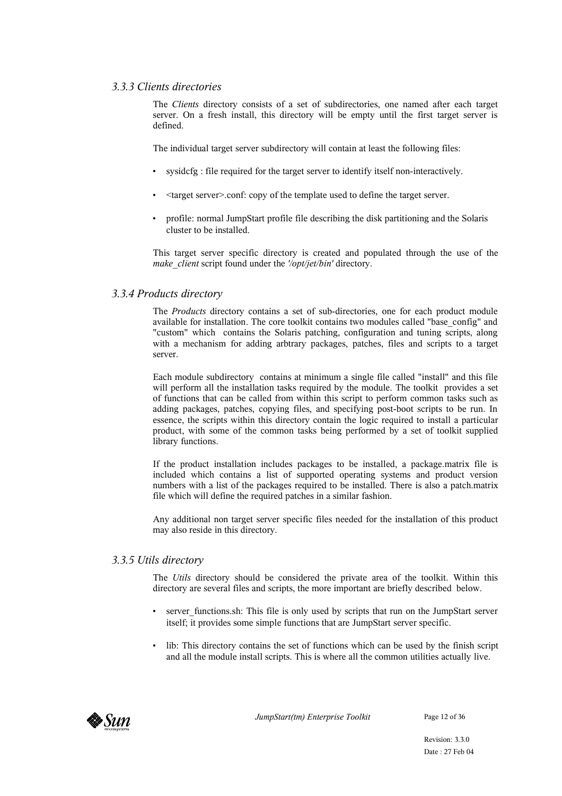#### *3.3.3 Clients directories*

The *Clients* directory consists of a set of subdirectories, one named after each target server. On a fresh install, this directory will be empty until the first target server is defined.

The individual target server subdirectory will contain at least the following files:

- sysidcfg : file required for the target server to identify itself non-interactively.
- <target server>.conf: copy of the template used to define the target server.
- profile: normal JumpStart profile file describing the disk partitioning and the Solaris cluster to be installed.

This target server specific directory is created and populated through the use of the *make\_client* script found under the *'/opt/jet/bin'* directory.

#### *3.3.4 Products directory*

The *Products* directory contains a set of sub-directories, one for each product module available for installation. The core toolkit contains two modules called "base\_config" and "custom" which contains the Solaris patching, configuration and tuning scripts, along with a mechanism for adding arbtrary packages, patches, files and scripts to a target server.

Each module subdirectory contains at minimum a single file called "install" and this file will perform all the installation tasks required by the module. The toolkit provides a set of functions that can be called from within this script to perform common tasks such as adding packages, patches, copying files, and specifying post-boot scripts to be run. In essence, the scripts within this directory contain the logic required to install a particular product, with some of the common tasks being performed by a set of toolkit supplied library functions.

If the product installation includes packages to be installed, a package.matrix file is included which contains a list of supported operating systems and product version numbers with a list of the packages required to be installed. There is also a patch.matrix file which will define the required patches in a similar fashion.

Any additional non target server specific files needed for the installation of this product may also reside in this directory.

#### *3.3.5 Utils directory*

The *Utils* directory should be considered the private area of the toolkit. Within this directory are several files and scripts, the more important are briefly described below.

- server functions.sh: This file is only used by scripts that run on the JumpStart server itself; it provides some simple functions that are JumpStart server specific.
- lib: This directory contains the set of functions which can be used by the finish script and all the module install scripts. This is where all the common utilities actually live.



*JumpStart(tm) Enterprise Toolkit* Page 12 of 36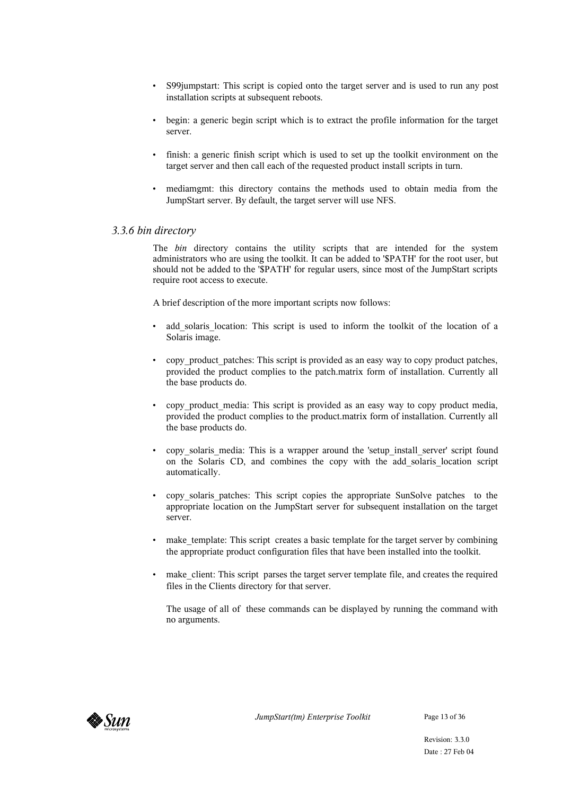- S99jumpstart: This script is copied onto the target server and is used to run any post installation scripts at subsequent reboots.
- begin: a generic begin script which is to extract the profile information for the target server.
- finish: a generic finish script which is used to set up the toolkit environment on the target server and then call each of the requested product install scripts in turn.
- mediamgmt: this directory contains the methods used to obtain media from the JumpStart server. By default, the target server will use NFS.

#### *3.3.6 bin directory*

The *bin* directory contains the utility scripts that are intended for the system administrators who are using the toolkit. It can be added to '\$PATH' for the root user, but should not be added to the '\$PATH' for regular users, since most of the JumpStart scripts require root access to execute.

A brief description of the more important scripts now follows:

- add solaris location: This script is used to inform the toolkit of the location of a Solaris image.
- copy product patches: This script is provided as an easy way to copy product patches, provided the product complies to the patch.matrix form of installation. Currently all the base products do.
- copy product media: This script is provided as an easy way to copy product media, provided the product complies to the product.matrix form of installation. Currently all the base products do.
- copy solaris media: This is a wrapper around the 'setup install server' script found on the Solaris CD, and combines the copy with the add\_solaris\_location script automatically.
- copy solaris patches: This script copies the appropriate SunSolve patches to the appropriate location on the JumpStart server for subsequent installation on the target server.
- make template: This script creates a basic template for the target server by combining the appropriate product configuration files that have been installed into the toolkit.
- make client: This script parses the target server template file, and creates the required files in the Clients directory for that server.

The usage of all of these commands can be displayed by running the command with no arguments.

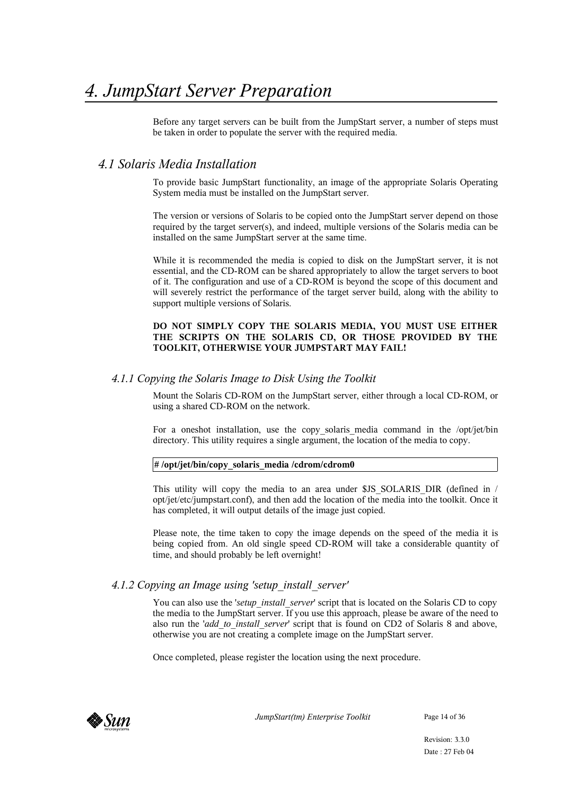Before any target servers can be built from the JumpStart server, a number of steps must be taken in order to populate the server with the required media.

## *4.1 Solaris Media Installation*

To provide basic JumpStart functionality, an image of the appropriate Solaris Operating System media must be installed on the JumpStart server.

The version or versions of Solaris to be copied onto the JumpStart server depend on those required by the target server(s), and indeed, multiple versions of the Solaris media can be installed on the same JumpStart server at the same time.

While it is recommended the media is copied to disk on the JumpStart server, it is not essential, and the CD-ROM can be shared appropriately to allow the target servers to boot of it. The configuration and use of a CD-ROM is beyond the scope of this document and will severely restrict the performance of the target server build, along with the ability to support multiple versions of Solaris.

#### **DO NOT SIMPLY COPY THE SOLARIS MEDIA, YOU MUST USE EITHER THE SCRIPTS ON THE SOLARIS CD, OR THOSE PROVIDED BY THE TOOLKIT, OTHERWISE YOUR JUMPSTART MAY FAIL!**

#### *4.1.1 Copying the Solaris Image to Disk Using the Toolkit*

Mount the Solaris CD-ROM on the JumpStart server, either through a local CD-ROM, or using a shared CD-ROM on the network.

For a oneshot installation, use the copy solaris media command in the /opt/jet/bin directory. This utility requires a single argument, the location of the media to copy.

#### **# /opt/jet/bin/copy\_solaris\_media /cdrom/cdrom0**

This utility will copy the media to an area under \$JS\_SOLARIS\_DIR (defined in / opt/jet/etc/jumpstart.conf), and then add the location of the media into the toolkit. Once it has completed, it will output details of the image just copied.

Please note, the time taken to copy the image depends on the speed of the media it is being copied from. An old single speed CD-ROM will take a considerable quantity of time, and should probably be left overnight!

## *4.1.2 Copying an Image using 'setup\_install\_server'*

You can also use the *'setup install server'* script that is located on the Solaris CD to copy the media to the JumpStart server. If you use this approach, please be aware of the need to also run the '*add\_to\_install\_server*' script that is found on CD2 of Solaris 8 and above, otherwise you are not creating a complete image on the JumpStart server.

Once completed, please register the location using the next procedure.



*JumpStart(tm) Enterprise Toolkit* Page 14 of 36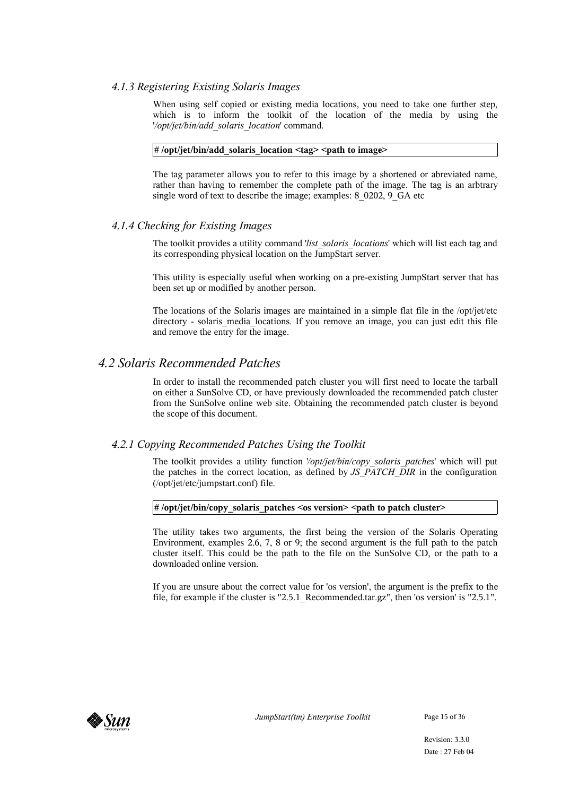#### *4.1.3 Registering Existing Solaris Images*

When using self copied or existing media locations, you need to take one further step, which is to inform the toolkit of the location of the media by using the '*/opt/jet/bin/add\_solaris\_location*' command.

#### **# /opt/jet/bin/add\_solaris\_location <tag> <path to image>**

The tag parameter allows you to refer to this image by a shortened or abreviated name, rather than having to remember the complete path of the image. The tag is an arbtrary single word of text to describe the image; examples: 8\_0202, 9\_GA etc

#### *4.1.4 Checking for Existing Images*

The toolkit provides a utility command '*list\_solaris\_locations*' which will list each tag and its corresponding physical location on the JumpStart server.

This utility is especially useful when working on a pre-existing JumpStart server that has been set up or modified by another person.

The locations of the Solaris images are maintained in a simple flat file in the /opt/jet/etc directory - solaris media locations. If you remove an image, you can just edit this file and remove the entry for the image.

## *4.2 Solaris Recommended Patches*

In order to install the recommended patch cluster you will first need to locate the tarball on either a SunSolve CD, or have previously downloaded the recommended patch cluster from the SunSolve online web site. Obtaining the recommended patch cluster is beyond the scope of this document.

#### *4.2.1 Copying Recommended Patches Using the Toolkit*

The toolkit provides a utility function '*/opt/jet/bin/copy\_solaris\_patches*' which will put the patches in the correct location, as defined by *JS\_PATCH\_DIR* in the configuration (/opt/jet/etc/jumpstart.conf) file.

#### **# /opt/jet/bin/copy\_solaris\_patches <os version> <path to patch cluster>**

The utility takes two arguments, the first being the version of the Solaris Operating Environment, examples 2.6, 7, 8 or 9; the second argument is the full path to the patch cluster itself. This could be the path to the file on the SunSolve CD, or the path to a downloaded online version.

If you are unsure about the correct value for 'os version', the argument is the prefix to the file, for example if the cluster is "2.5.1\_Recommended.tar.gz", then 'os version' is "2.5.1".

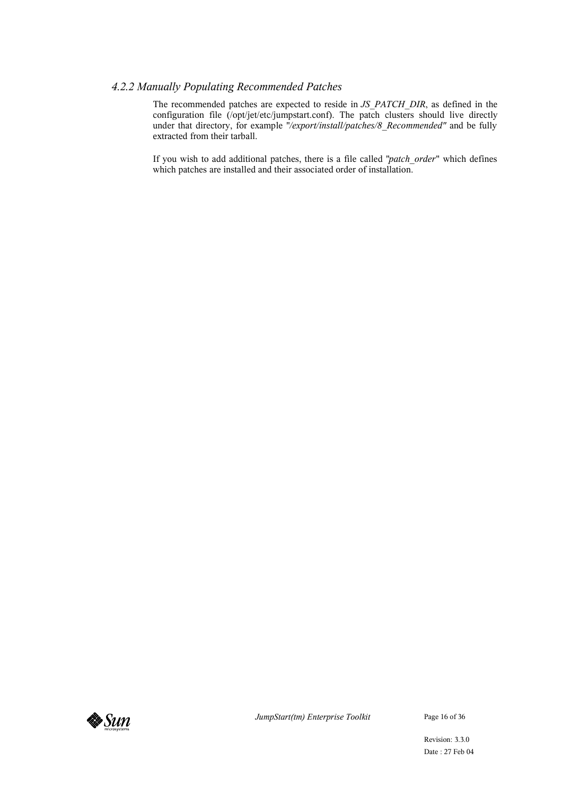#### *4.2.2 Manually Populating Recommended Patches*

The recommended patches are expected to reside in *JS\_PATCH\_DIR*, as defined in the configuration file (/opt/jet/etc/jumpstart.conf). The patch clusters should live directly under that directory, for example "/export/install/patches/8\_Recommended" and be fully extracted from their tarball.

If you wish to add additional patches, there is a file called "*patch\_order*" which defines which patches are installed and their associated order of installation.



*JumpStart(tm) Enterprise Toolkit* Page 16 of 36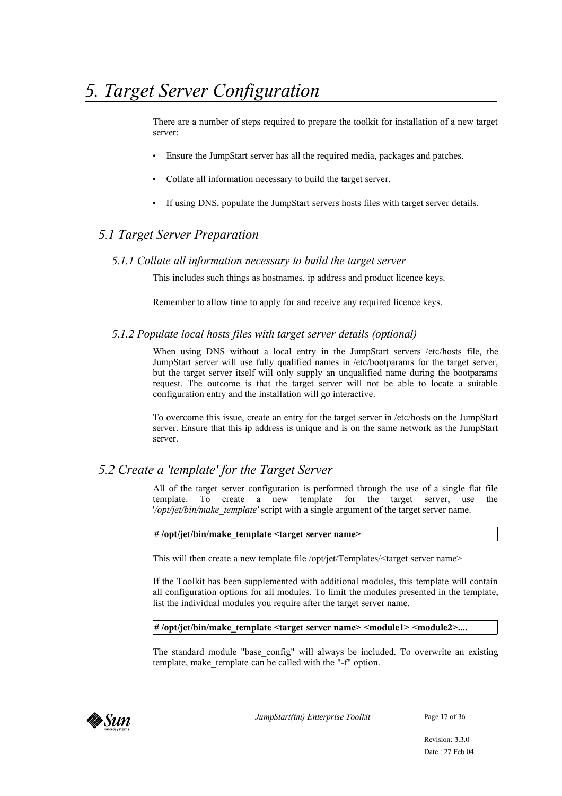There are a number of steps required to prepare the toolkit for installation of a new target server:

- Ensure the JumpStart server has all the required media, packages and patches.
- Collate all information necessary to build the target server.
- If using DNS, populate the JumpStart servers hosts files with target server details.

## *5.1 Target Server Preparation*

#### *5.1.1 Collate all information necessary to build the target server*

This includes such things as hostnames, ip address and product licence keys.

Remember to allow time to apply for and receive any required licence keys.

#### *5.1.2 Populate local hosts files with target server details (optional)*

When using DNS without a local entry in the JumpStart servers /etc/hosts file, the JumpStart server will use fully qualified names in /etc/bootparams for the target server, but the target server itself will only supply an unqualified name during the bootparams request. The outcome is that the target server will not be able to locate a suitable configuration entry and the installation will go interactive.

To overcome this issue, create an entry for the target server in /etc/hosts on the JumpStart server. Ensure that this ip address is unique and is on the same network as the JumpStart server.

## *5.2 Create a 'template' for the Target Server*

All of the target server configuration is performed through the use of a single flat file template. To create a new template for the target server, use the '*/opt/jet/bin/make\_template'* script with a single argument of the target server name.

#### **# /opt/jet/bin/make\_template <target server name>**

This will then create a new template file /opt/jet/Templates/<target server name>

If the Toolkit has been supplemented with additional modules, this template will contain all configuration options for all modules. To limit the modules presented in the template, list the individual modules you require after the target server name.

#### **# /opt/jet/bin/make\_template <target server name> <module1> <module2>....**

The standard module "base\_config" will always be included. To overwrite an existing template, make\_template can be called with the "-f" option.



*JumpStart(tm) Enterprise Toolkit* Page 17 of 36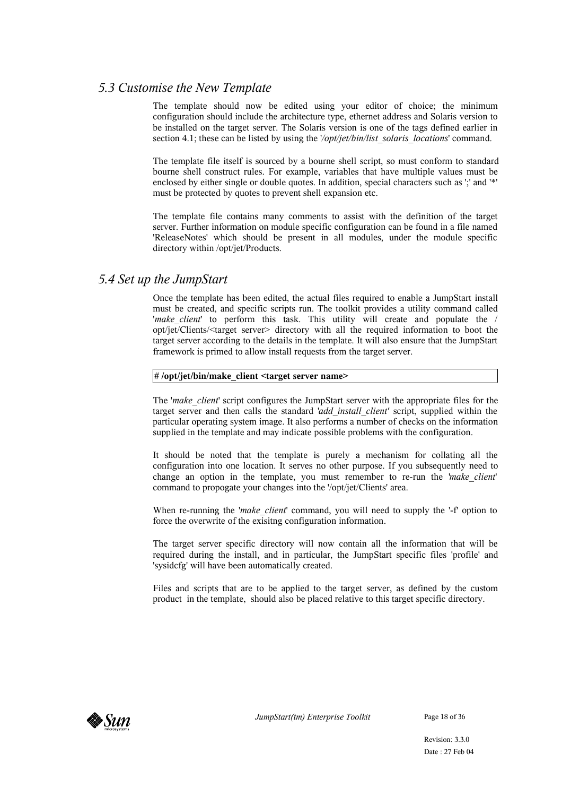## *5.3 Customise the New Template*

The template should now be edited using your editor of choice; the minimum configuration should include the architecture type, ethernet address and Solaris version to be installed on the target server. The Solaris version is one of the tags defined earlier in section 4.1; these can be listed by using the '/*opt/jet/bin/list* solaris locations' command.

The template file itself is sourced by a bourne shell script, so must conform to standard bourne shell construct rules. For example, variables that have multiple values must be enclosed by either single or double quotes. In addition, special characters such as ';' and '\*' must be protected by quotes to prevent shell expansion etc.

The template file contains many comments to assist with the definition of the target server. Further information on module specific configuration can be found in a file named 'ReleaseNotes' which should be present in all modules, under the module specific directory within /opt/jet/Products.

## *5.4 Set up the JumpStart*

Once the template has been edited, the actual files required to enable a JumpStart install must be created, and specific scripts run. The toolkit provides a utility command called '*make client*' to perform this task. This utility will create and populate the / opt/jet/Clients/<target server> directory with all the required information to boot the target server according to the details in the template. It will also ensure that the JumpStart framework is primed to allow install requests from the target server.

#### **# /opt/jet/bin/make\_client <target server name>**

The '*make\_client*' script configures the JumpStart server with the appropriate files for the target server and then calls the standard '*add\_install\_client'* script, supplied within the particular operating system image. It also performs a number of checks on the information supplied in the template and may indicate possible problems with the configuration.

It should be noted that the template is purely a mechanism for collating all the configuration into one location. It serves no other purpose. If you subsequently need to change an option in the template, you must remember to re-run the '*make\_client*' command to propogate your changes into the '/opt/jet/Clients' area.

When re-running the *'make client'* command, you will need to supply the '-f' option to force the overwrite of the exisitng configuration information.

The target server specific directory will now contain all the information that will be required during the install, and in particular, the JumpStart specific files 'profile' and 'sysidcfg' will have been automatically created.

Files and scripts that are to be applied to the target server, as defined by the custom product in the template, should also be placed relative to this target specific directory.



*JumpStart(tm) Enterprise Toolkit* Page 18 of 36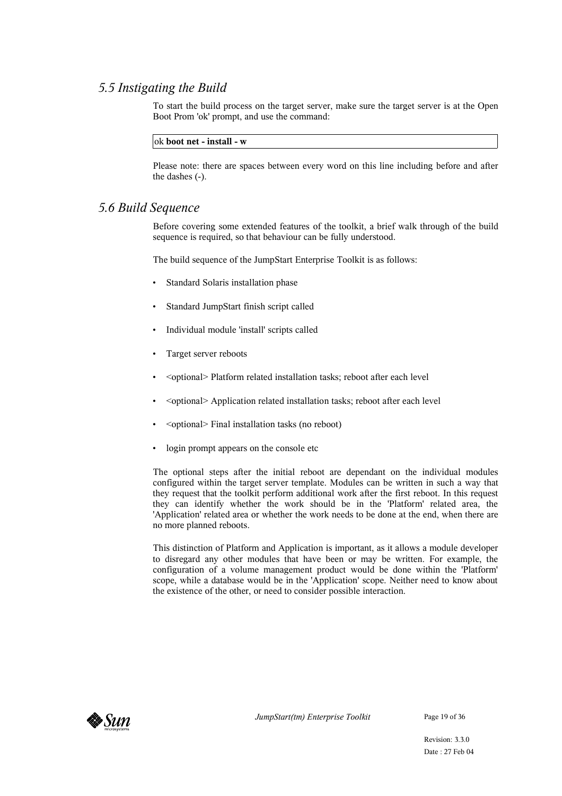## *5.5 Instigating the Build*

To start the build process on the target server, make sure the target server is at the Open Boot Prom 'ok' prompt, and use the command:

ok **boot net - install - w**

Please note: there are spaces between every word on this line including before and after the dashes (-).

## *5.6 Build Sequence*

Before covering some extended features of the toolkit, a brief walk through of the build sequence is required, so that behaviour can be fully understood.

The build sequence of the JumpStart Enterprise Toolkit is as follows:

- Standard Solaris installation phase
- Standard JumpStart finish script called
- Individual module 'install' scripts called
- Target server reboots
- <optional> Platform related installation tasks; reboot after each level
- <optional> Application related installation tasks; reboot after each level
- <optional> Final installation tasks (no reboot)
- login prompt appears on the console etc

The optional steps after the initial reboot are dependant on the individual modules configured within the target server template. Modules can be written in such a way that they request that the toolkit perform additional work after the first reboot. In this request they can identify whether the work should be in the 'Platform' related area, the 'Application' related area or whether the work needs to be done at the end, when there are no more planned reboots.

This distinction of Platform and Application is important, as it allows a module developer to disregard any other modules that have been or may be written. For example, the configuration of a volume management product would be done within the 'Platform' scope, while a database would be in the 'Application' scope. Neither need to know about the existence of the other, or need to consider possible interaction.



*JumpStart(tm) Enterprise Toolkit* Page 19 of 36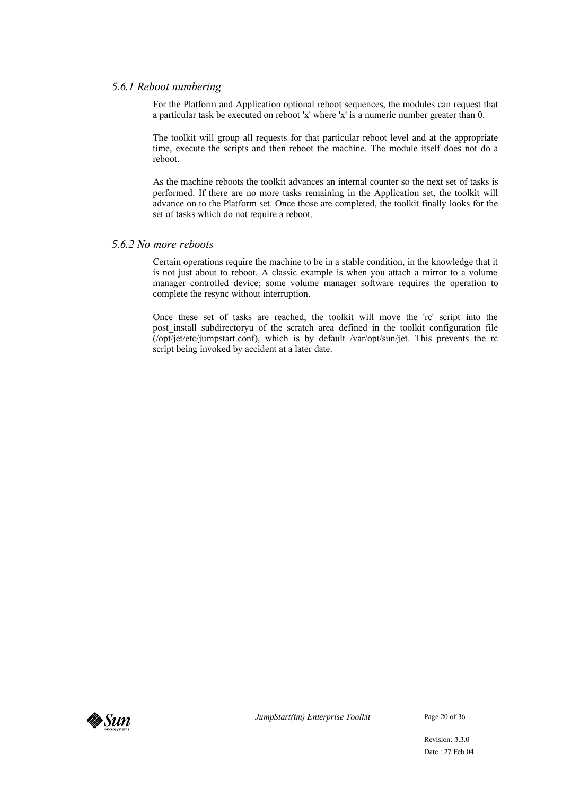#### *5.6.1 Reboot numbering*

For the Platform and Application optional reboot sequences, the modules can request that a particular task be executed on reboot 'x' where 'x' is a numeric number greater than 0.

The toolkit will group all requests for that particular reboot level and at the appropriate time, execute the scripts and then reboot the machine. The module itself does not do a reboot.

As the machine reboots the toolkit advances an internal counter so the next set of tasks is performed. If there are no more tasks remaining in the Application set, the toolkit will advance on to the Platform set. Once those are completed, the toolkit finally looks for the set of tasks which do not require a reboot.

#### *5.6.2 No more reboots*

Certain operations require the machine to be in a stable condition, in the knowledge that it is not just about to reboot. A classic example is when you attach a mirror to a volume manager controlled device; some volume manager software requires the operation to complete the resync without interruption.

Once these set of tasks are reached, the toolkit will move the 'rc' script into the post install subdirectoryu of the scratch area defined in the toolkit configuration file (/opt/jet/etc/jumpstart.conf), which is by default /var/opt/sun/jet. This prevents the rc script being invoked by accident at a later date.



*JumpStart(tm) Enterprise Toolkit* Page 20 of 36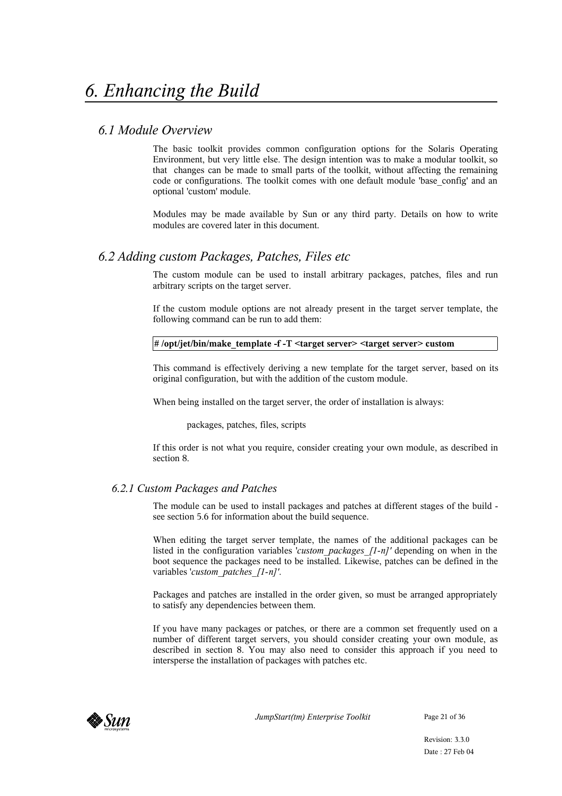## *6.1 Module Overview*

The basic toolkit provides common configuration options for the Solaris Operating Environment, but very little else. The design intention was to make a modular toolkit, so that changes can be made to small parts of the toolkit, without affecting the remaining code or configurations. The toolkit comes with one default module 'base\_config' and an optional 'custom' module.

Modules may be made available by Sun or any third party. Details on how to write modules are covered later in this document.

## *6.2 Adding custom Packages, Patches, Files etc*

The custom module can be used to install arbitrary packages, patches, files and run arbitrary scripts on the target server.

If the custom module options are not already present in the target server template, the following command can be run to add them:

#### **# /opt/jet/bin/make\_template -f -T <target server> <target server> custom**

This command is effectively deriving a new template for the target server, based on its original configuration, but with the addition of the custom module.

When being installed on the target server, the order of installation is always:

packages, patches, files, scripts

If this order is not what you require, consider creating your own module, as described in section 8.

#### *6.2.1 Custom Packages and Patches*

The module can be used to install packages and patches at different stages of the build see section 5.6 for information about the build sequence.

When editing the target server template, the names of the additional packages can be listed in the configuration variables '*custom\_packages\_[1-n]'* depending on when in the boot sequence the packages need to be installed. Likewise, patches can be defined in the variables '*custom\_patches\_[1-n]'*.

Packages and patches are installed in the order given, so must be arranged appropriately to satisfy any dependencies between them.

If you have many packages or patches, or there are a common set frequently used on a number of different target servers, you should consider creating your own module, as described in section 8. You may also need to consider this approach if you need to intersperse the installation of packages with patches etc.



*JumpStart(tm) Enterprise Toolkit* Page 21 of 36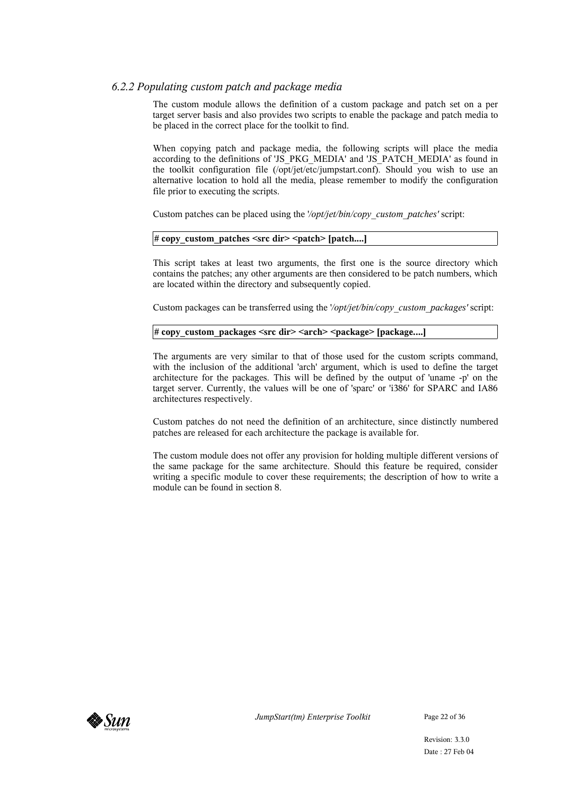#### *6.2.2 Populating custom patch and package media*

The custom module allows the definition of a custom package and patch set on a per target server basis and also provides two scripts to enable the package and patch media to be placed in the correct place for the toolkit to find.

When copying patch and package media, the following scripts will place the media according to the definitions of 'JS\_PKG\_MEDIA' and 'JS\_PATCH\_MEDIA' as found in the toolkit configuration file (/opt/jet/etc/jumpstart.conf). Should you wish to use an alternative location to hold all the media, please remember to modify the configuration file prior to executing the scripts.

Custom patches can be placed using the '*/opt/jet/bin/copy\_custom\_patches'* script:

#### **# copy\_custom\_patches <src dir> <patch> [patch....]**

This script takes at least two arguments, the first one is the source directory which contains the patches; any other arguments are then considered to be patch numbers, which are located within the directory and subsequently copied.

Custom packages can be transferred using the '*/opt/jet/bin/copy\_custom\_packages'* script:

#### **# copy\_custom\_packages <src dir> <arch> <package> [package....]**

The arguments are very similar to that of those used for the custom scripts command, with the inclusion of the additional 'arch' argument, which is used to define the target architecture for the packages. This will be defined by the output of 'uname -p' on the target server. Currently, the values will be one of 'sparc' or 'i386' for SPARC and IA86 architectures respectively.

Custom patches do not need the definition of an architecture, since distinctly numbered patches are released for each architecture the package is available for.

The custom module does not offer any provision for holding multiple different versions of the same package for the same architecture. Should this feature be required, consider writing a specific module to cover these requirements; the description of how to write a module can be found in section 8.



*JumpStart(tm) Enterprise Toolkit* Page 22 of 36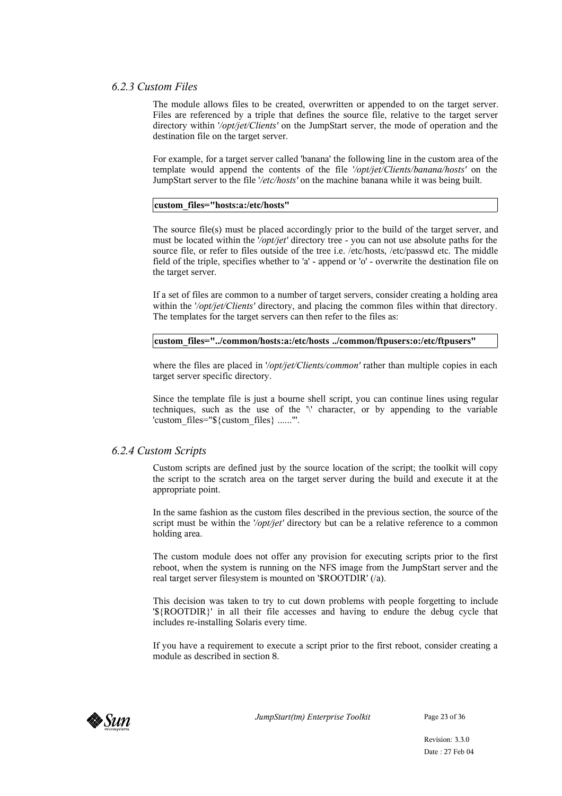#### *6.2.3 Custom Files*

The module allows files to be created, overwritten or appended to on the target server. Files are referenced by a triple that defines the source file, relative to the target server directory within '*/opt/jet/Clients'* on the JumpStart server, the mode of operation and the destination file on the target server.

For example, for a target server called 'banana' the following line in the custom area of the template would append the contents of the file '*/opt/jet/Clients/banana/hosts'* on the JumpStart server to the file '*/etc/hosts'* on the machine banana while it was being built.

#### **custom\_files="hosts:a:/etc/hosts"**

The source file(s) must be placed accordingly prior to the build of the target server, and must be located within the '*/opt/jet'* directory tree - you can not use absolute paths for the source file, or refer to files outside of the tree i.e. /etc/hosts, /etc/passwd etc. The middle field of the triple, specifies whether to 'a' - append or 'o' - overwrite the destination file on the target server.

If a set of files are common to a number of target servers, consider creating a holding area within the '*/opt/jet/Clients'* directory, and placing the common files within that directory. The templates for the target servers can then refer to the files as:

#### **custom\_files="../common/hosts:a:/etc/hosts ../common/ftpusers:o:/etc/ftpusers"**

where the files are placed in *'/opt/jet/Clients/common'* rather than multiple copies in each target server specific directory.

Since the template file is just a bourne shell script, you can continue lines using regular techniques, such as the use of the '\' character, or by appending to the variable 'custom\_files="\${custom\_files} ......"'.

#### *6.2.4 Custom Scripts*

Custom scripts are defined just by the source location of the script; the toolkit will copy the script to the scratch area on the target server during the build and execute it at the appropriate point.

In the same fashion as the custom files described in the previous section, the source of the script must be within the '*/opt/jet'* directory but can be a relative reference to a common holding area.

The custom module does not offer any provision for executing scripts prior to the first reboot, when the system is running on the NFS image from the JumpStart server and the real target server filesystem is mounted on '\$ROOTDIR' (/a).

This decision was taken to try to cut down problems with people forgetting to include '\${ROOTDIR}' in all their file accesses and having to endure the debug cycle that includes re-installing Solaris every time.

If you have a requirement to execute a script prior to the first reboot, consider creating a module as described in section 8.



*JumpStart(tm) Enterprise Toolkit* Page 23 of 36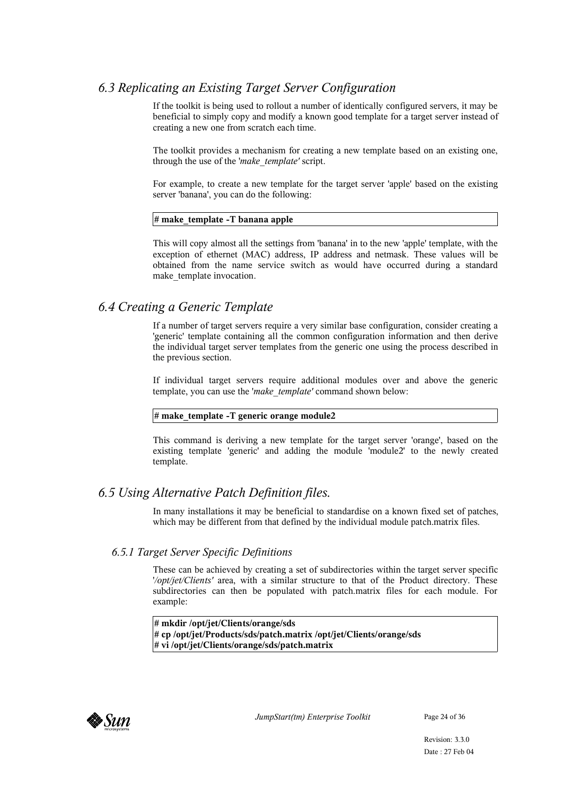## *6.3 Replicating an Existing Target Server Configuration*

If the toolkit is being used to rollout a number of identically configured servers, it may be beneficial to simply copy and modify a known good template for a target server instead of creating a new one from scratch each time.

The toolkit provides a mechanism for creating a new template based on an existing one, through the use of the '*make\_template'* script.

For example, to create a new template for the target server 'apple' based on the existing server 'banana', you can do the following:

#### **# make\_template -T banana apple**

This will copy almost all the settings from 'banana' in to the new 'apple' template, with the exception of ethernet (MAC) address, IP address and netmask. These values will be obtained from the name service switch as would have occurred during a standard make template invocation.

## *6.4 Creating a Generic Template*

If a number of target servers require a very similar base configuration, consider creating a 'generic' template containing all the common configuration information and then derive the individual target server templates from the generic one using the process described in the previous section.

If individual target servers require additional modules over and above the generic template, you can use the '*make\_template'* command shown below:

#### **# make\_template -T generic orange module2**

This command is deriving a new template for the target server 'orange', based on the existing template 'generic' and adding the module 'module2' to the newly created template.

## *6.5 Using Alternative Patch Definition files.*

In many installations it may be beneficial to standardise on a known fixed set of patches, which may be different from that defined by the individual module patch.matrix files.

## *6.5.1 Target Server Specific Definitions*

These can be achieved by creating a set of subdirectories within the target server specific '*/opt/jet/Clients'* area, with a similar structure to that of the Product directory. These subdirectories can then be populated with patch.matrix files for each module. For example:

**# mkdir /opt/jet/Clients/orange/sds # cp /opt/jet/Products/sds/patch.matrix /opt/jet/Clients/orange/sds # vi /opt/jet/Clients/orange/sds/patch.matrix**



*JumpStart(tm) Enterprise Toolkit* Page 24 of 36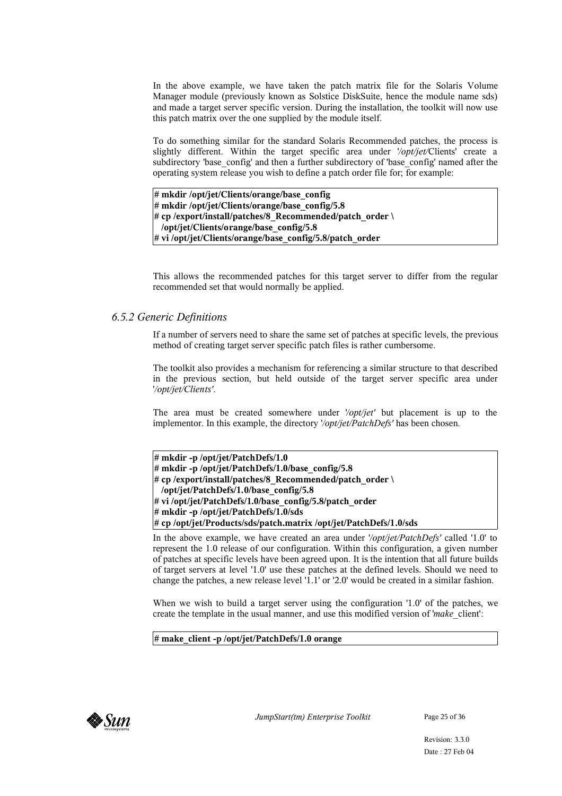In the above example, we have taken the patch matrix file for the Solaris Volume Manager module (previously known as Solstice DiskSuite, hence the module name sds) and made a target server specific version. During the installation, the toolkit will now use this patch matrix over the one supplied by the module itself.

To do something similar for the standard Solaris Recommended patches, the process is slightly different. Within the target specific area under '*/opt/jet/*Clients' create a subdirectory 'base\_config' and then a further subdirectory of 'base\_config' named after the operating system release you wish to define a patch order file for; for example:

**# mkdir /opt/jet/Clients/orange/base\_config # mkdir /opt/jet/Clients/orange/base\_config/5.8 # cp /export/install/patches/8\_Recommended/patch\_order \ /opt/jet/Clients/orange/base\_config/5.8 # vi /opt/jet/Clients/orange/base\_config/5.8/patch\_order**

This allows the recommended patches for this target server to differ from the regular recommended set that would normally be applied.

#### *6.5.2 Generic Definitions*

If a number of servers need to share the same set of patches at specific levels, the previous method of creating target server specific patch files is rather cumbersome.

The toolkit also provides a mechanism for referencing a similar structure to that described in the previous section, but held outside of the target server specific area under '*/opt/jet/Clients'*.

The area must be created somewhere under '*/opt/jet'* but placement is up to the implementor. In this example, the directory '*/opt/jet/PatchDefs'* has been chosen.

| # mkdir -p /opt/jet/PatchDefs/1.0                                  |
|--------------------------------------------------------------------|
| # mkdir -p/opt/jet/PatchDefs/1.0/base config/5.8                   |
| # cp /export/install/patches/8 Recommended/patch order \           |
| /opt/jet/PatchDefs/1.0/base config/5.8                             |
| # vi /opt/jet/PatchDefs/1.0/base config/5.8/patch order            |
| # mkdir -p /opt/jet/PatchDefs/1.0/sds                              |
| # cp /opt/jet/Products/sds/patch.matrix /opt/jet/PatchDefs/1.0/sds |
|                                                                    |

In the above example, we have created an area under '*/opt/jet/PatchDefs'* called '1.0' to represent the 1.0 release of our configuration. Within this configuration, a given number of patches at specific levels have been agreed upon. It is the intention that all future builds of target servers at level '1.0' use these patches at the defined levels. Should we need to change the patches, a new release level '1.1' or '2.0' would be created in a similar fashion.

When we wish to build a target server using the configuration '1.0' of the patches, we create the template in the usual manner, and use this modified version of '*make\_*client':

**# make\_client -p /opt/jet/PatchDefs/1.0 orange**

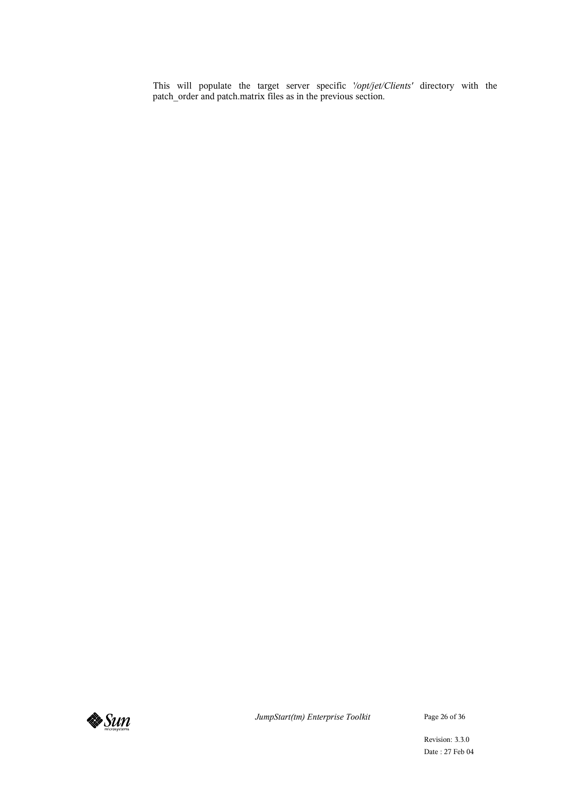This will populate the target server specific '*/opt/jet/Clients'* directory with the patch\_order and patch.matrix files as in the previous section.



*JumpStart(tm) Enterprise Toolkit* Page 26 of 36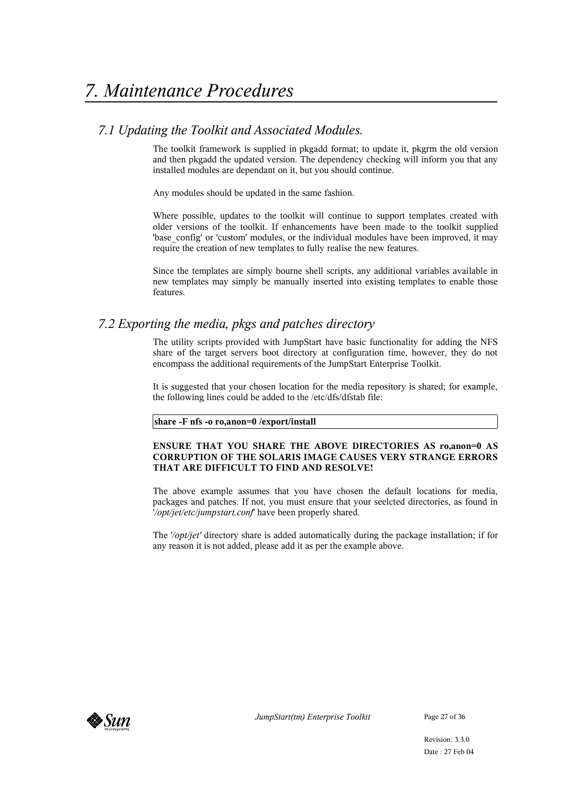## *7.1 Updating the Toolkit and Associated Modules.*

The toolkit framework is supplied in pkgadd format; to update it, pkgrm the old version and then pkgadd the updated version. The dependency checking will inform you that any installed modules are dependant on it, but you should continue.

Any modules should be updated in the same fashion.

Where possible, updates to the toolkit will continue to support templates created with older versions of the toolkit. If enhancements have been made to the toolkit supplied 'base\_config' or 'custom' modules, or the individual modules have been improved, it may require the creation of new templates to fully realise the new features.

Since the templates are simply bourne shell scripts, any additional variables available in new templates may simply be manually inserted into existing templates to enable those features.

## *7.2 Exporting the media, pkgs and patches directory*

The utility scripts provided with JumpStart have basic functionality for adding the NFS share of the target servers boot directory at configuration time, however, they do not encompass the additional requirements of the JumpStart Enterprise Toolkit.

It is suggested that your chosen location for the media repository is shared; for example, the following lines could be added to the /etc/dfs/dfstab file:

#### **share -F nfs -o ro,anon=0 /export/install**

#### **ENSURE THAT YOU SHARE THE ABOVE DIRECTORIES AS ro,anon=0 AS CORRUPTION OF THE SOLARIS IMAGE CAUSES VERY STRANGE ERRORS THAT ARE DIFFICULT TO FIND AND RESOLVE!**

The above example assumes that you have chosen the default locations for media, packages and patches. If not, you must ensure that your seelcted directories, as found in '*/opt/jet/etc/jumpstart.conf*' have been properly shared.

The '*/opt/jet'* directory share is added automatically during the package installation; if for any reason it is not added, please add it as per the example above.



*JumpStart(tm) Enterprise Toolkit* Page 27 of 36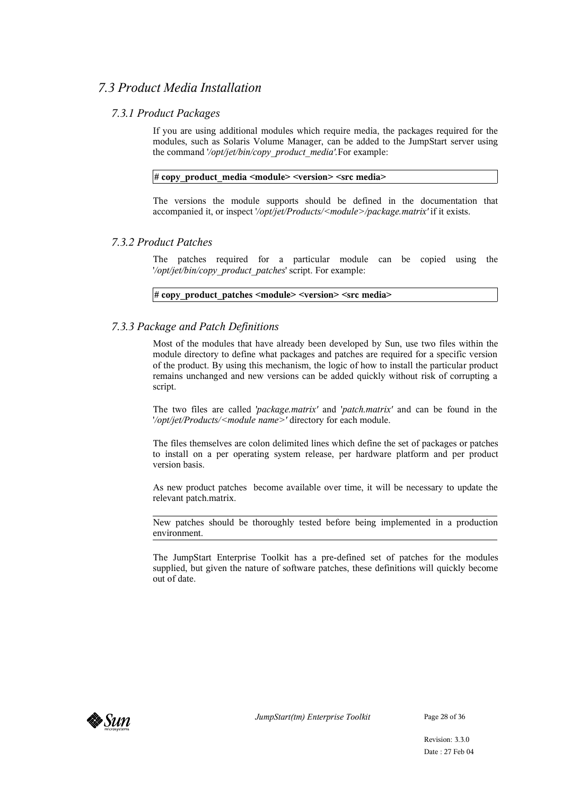## *7.3 Product Media Installation*

## *7.3.1 Product Packages*

If you are using additional modules which require media, the packages required for the modules, such as Solaris Volume Manager, can be added to the JumpStart server using the command '*/opt/jet/bin/copy\_product\_media'.*For example:

#### **# copy\_product\_media <module> <version> <src media>**

The versions the module supports should be defined in the documentation that accompanied it, or inspect '*/opt/jet/Products/<module>/package.matrix'* if it exists.

## *7.3.2 Product Patches*

The patches required for a particular module can be copied using the '*/opt/jet/bin/copy\_product\_patches*' script. For example:

#### **# copy\_product\_patches <module> <version> <src media>**

## *7.3.3 Package and Patch Definitions*

Most of the modules that have already been developed by Sun, use two files within the module directory to define what packages and patches are required for a specific version of the product. By using this mechanism, the logic of how to install the particular product remains unchanged and new versions can be added quickly without risk of corrupting a script.

The two files are called '*package.matrix'* and '*patch.matrix'* and can be found in the '*/opt/jet/Products/<module name>'* directory for each module.

The files themselves are colon delimited lines which define the set of packages or patches to install on a per operating system release, per hardware platform and per product version basis.

As new product patches become available over time, it will be necessary to update the relevant patch.matrix.

New patches should be thoroughly tested before being implemented in a production environment.

The JumpStart Enterprise Toolkit has a pre-defined set of patches for the modules supplied, but given the nature of software patches, these definitions will quickly become out of date.



*JumpStart(tm) Enterprise Toolkit* Page 28 of 36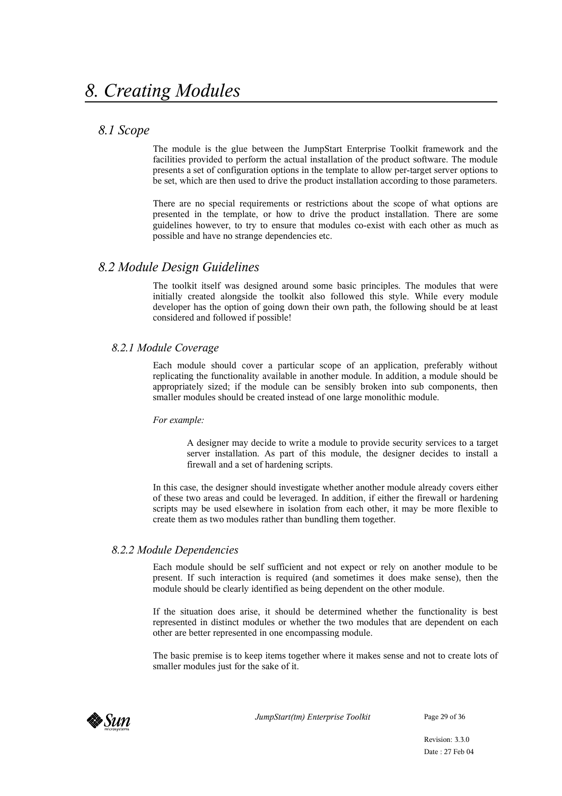## *8.1 Scope*

The module is the glue between the JumpStart Enterprise Toolkit framework and the facilities provided to perform the actual installation of the product software. The module presents a set of configuration options in the template to allow per-target server options to be set, which are then used to drive the product installation according to those parameters.

There are no special requirements or restrictions about the scope of what options are presented in the template, or how to drive the product installation. There are some guidelines however, to try to ensure that modules co-exist with each other as much as possible and have no strange dependencies etc.

## *8.2 Module Design Guidelines*

The toolkit itself was designed around some basic principles. The modules that were initially created alongside the toolkit also followed this style. While every module developer has the option of going down their own path, the following should be at least considered and followed if possible!

#### *8.2.1 Module Coverage*

Each module should cover a particular scope of an application, preferably without replicating the functionality available in another module. In addition, a module should be appropriately sized; if the module can be sensibly broken into sub components, then smaller modules should be created instead of one large monolithic module.

#### *For example:*

A designer may decide to write a module to provide security services to a target server installation. As part of this module, the designer decides to install a firewall and a set of hardening scripts.

In this case, the designer should investigate whether another module already covers either of these two areas and could be leveraged. In addition, if either the firewall or hardening scripts may be used elsewhere in isolation from each other, it may be more flexible to create them as two modules rather than bundling them together.

#### *8.2.2 Module Dependencies*

Each module should be self sufficient and not expect or rely on another module to be present. If such interaction is required (and sometimes it does make sense), then the module should be clearly identified as being dependent on the other module.

If the situation does arise, it should be determined whether the functionality is best represented in distinct modules or whether the two modules that are dependent on each other are better represented in one encompassing module.

The basic premise is to keep items together where it makes sense and not to create lots of smaller modules just for the sake of it.



*JumpStart(tm) Enterprise Toolkit* Page 29 of 36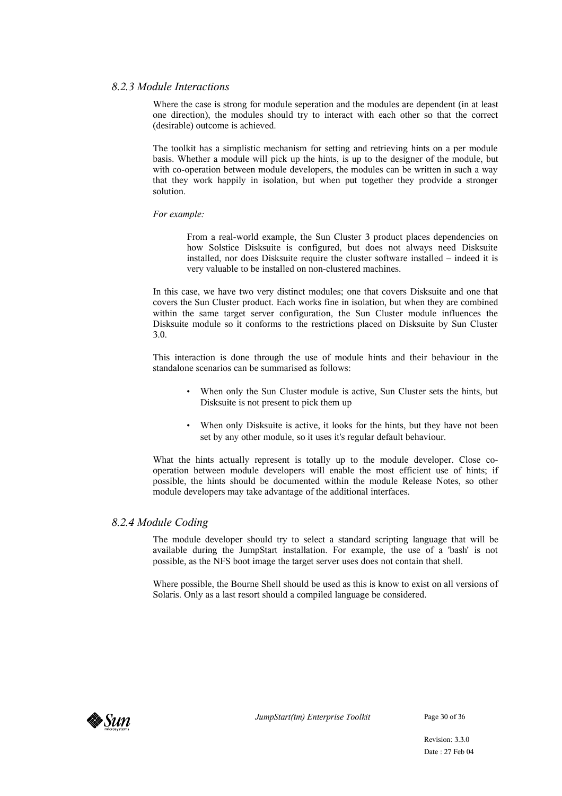#### *8.2.3 Module Interactions*

Where the case is strong for module seperation and the modules are dependent (in at least one direction), the modules should try to interact with each other so that the correct (desirable) outcome is achieved.

The toolkit has a simplistic mechanism for setting and retrieving hints on a per module basis. Whether a module will pick up the hints, is up to the designer of the module, but with co-operation between module developers, the modules can be written in such a way that they work happily in isolation, but when put together they prodvide a stronger solution.

#### *For example:*

From a real-world example, the Sun Cluster 3 product places dependencies on how Solstice Disksuite is configured, but does not always need Disksuite installed, nor does Disksuite require the cluster software installed – indeed it is very valuable to be installed on non-clustered machines.

In this case, we have two very distinct modules; one that covers Disksuite and one that covers the Sun Cluster product. Each works fine in isolation, but when they are combined within the same target server configuration, the Sun Cluster module influences the Disksuite module so it conforms to the restrictions placed on Disksuite by Sun Cluster 3.0.

This interaction is done through the use of module hints and their behaviour in the standalone scenarios can be summarised as follows:

- When only the Sun Cluster module is active, Sun Cluster sets the hints, but Disksuite is not present to pick them up
- When only Disksuite is active, it looks for the hints, but they have not been set by any other module, so it uses it's regular default behaviour.

What the hints actually represent is totally up to the module developer. Close cooperation between module developers will enable the most efficient use of hints; if possible, the hints should be documented within the module Release Notes, so other module developers may take advantage of the additional interfaces.

#### *8.2.4 Module Coding*

The module developer should try to select a standard scripting language that will be available during the JumpStart installation. For example, the use of a 'bash' is not possible, as the NFS boot image the target server uses does not contain that shell.

Where possible, the Bourne Shell should be used as this is know to exist on all versions of Solaris. Only as a last resort should a compiled language be considered.

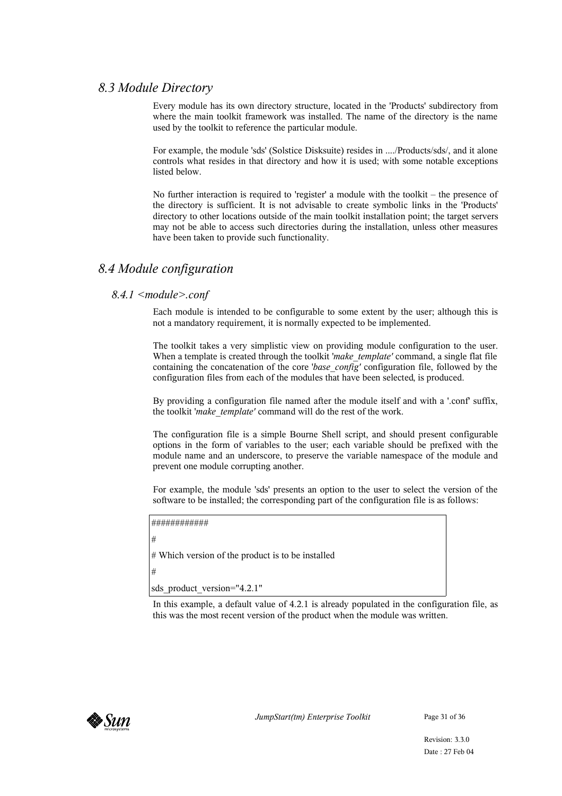## *8.3 Module Directory*

Every module has its own directory structure, located in the 'Products' subdirectory from where the main toolkit framework was installed. The name of the directory is the name used by the toolkit to reference the particular module.

For example, the module 'sds' (Solstice Disksuite) resides in ..../Products/sds/, and it alone controls what resides in that directory and how it is used; with some notable exceptions listed below.

No further interaction is required to 'register' a module with the toolkit – the presence of the directory is sufficient. It is not advisable to create symbolic links in the 'Products' directory to other locations outside of the main toolkit installation point; the target servers may not be able to access such directories during the installation, unless other measures have been taken to provide such functionality.

## *8.4 Module configuration*

## *8.4.1 <module>.conf*

Each module is intended to be configurable to some extent by the user; although this is not a mandatory requirement, it is normally expected to be implemented.

The toolkit takes a very simplistic view on providing module configuration to the user. When a template is created through the toolkit 'make\_template' command, a single flat file containing the concatenation of the core '*base\_config'* configuration file, followed by the configuration files from each of the modules that have been selected, is produced.

By providing a configuration file named after the module itself and with a '.conf' suffix, the toolkit '*make\_template'* command will do the rest of the work.

The configuration file is a simple Bourne Shell script, and should present configurable options in the form of variables to the user; each variable should be prefixed with the module name and an underscore, to preserve the variable namespace of the module and prevent one module corrupting another.

For example, the module 'sds' presents an option to the user to select the version of the software to be installed; the corresponding part of the configuration file is as follows:

```
############
```
# Which version of the product is to be installed

#

#

sds product version="4.2.1"

In this example, a default value of 4.2.1 is already populated in the configuration file, as this was the most recent version of the product when the module was written.

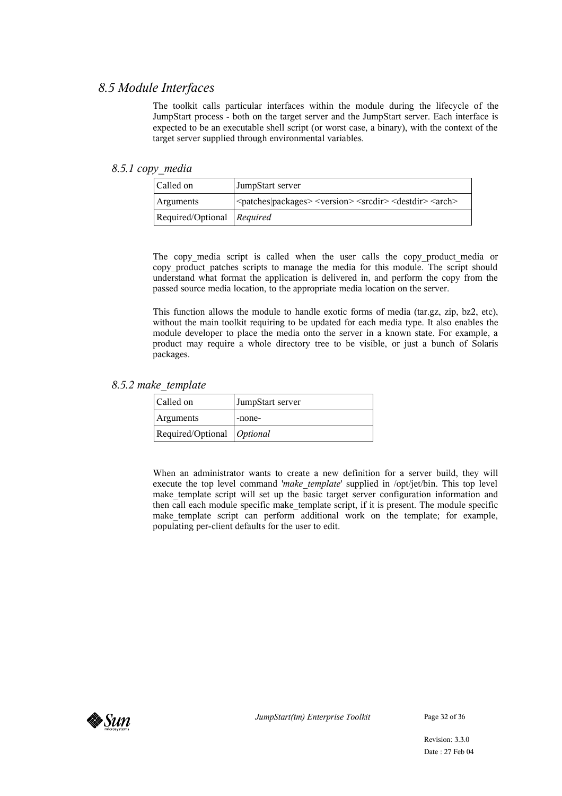## *8.5 Module Interfaces*

The toolkit calls particular interfaces within the module during the lifecycle of the JumpStart process - both on the target server and the JumpStart server. Each interface is expected to be an executable shell script (or worst case, a binary), with the context of the target server supplied through environmental variables.

#### *8.5.1 copy\_media*

| Called on                  | JumpStart server                                                                                              |
|----------------------------|---------------------------------------------------------------------------------------------------------------|
| <b>Arguments</b>           | <patches packages> <version> <srcdir> <destdir> <arch></arch></destdir></srcdir></version></patches packages> |
| Required/Optional Required |                                                                                                               |

The copy media script is called when the user calls the copy product media or copy\_product\_patches scripts to manage the media for this module. The script should understand what format the application is delivered in, and perform the copy from the passed source media location, to the appropriate media location on the server.

This function allows the module to handle exotic forms of media (tar.gz, zip, bz2, etc), without the main toolkit requiring to be updated for each media type. It also enables the module developer to place the media onto the server in a known state. For example, a product may require a whole directory tree to be visible, or just a bunch of Solaris packages.

#### *8.5.2 make\_template*

| Called on                         | JumpStart server |
|-----------------------------------|------------------|
| Arguments                         | -none-           |
| Required/Optional <i>Optional</i> |                  |

When an administrator wants to create a new definition for a server build, they will execute the top level command '*make\_template*' supplied in /opt/jet/bin. This top level make\_template script will set up the basic target server configuration information and then call each module specific make\_template script, if it is present. The module specific make\_template script can perform additional work on the template; for example, populating per-client defaults for the user to edit.



*JumpStart(tm) Enterprise Toolkit* Page 32 of 36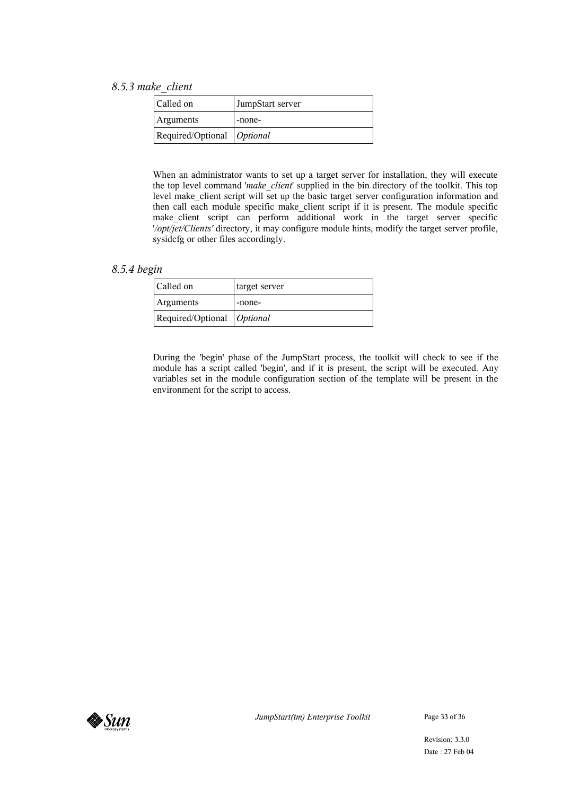#### *8.5.3 make\_client*

| Called on                         | JumpStart server |
|-----------------------------------|------------------|
| <b>Arguments</b>                  | -none-           |
| Required/Optional <i>Optional</i> |                  |

When an administrator wants to set up a target server for installation, they will execute the top level command '*make\_client*' supplied in the bin directory of the toolkit. This top level make client script will set up the basic target server configuration information and then call each module specific make\_client script if it is present. The module specific make\_client script can perform additional work in the target server specific '*/opt/jet/Clients'* directory, it may configure module hints, modify the target server profile, sysidcfg or other files accordingly.

*8.5.4 begin*

| Called on                    | target server |
|------------------------------|---------------|
| <b>Arguments</b>             | -none-        |
| Required/Optional   Optional |               |

During the 'begin' phase of the JumpStart process, the toolkit will check to see if the module has a script called 'begin', and if it is present, the script will be executed. Any variables set in the module configuration section of the template will be present in the environment for the script to access.

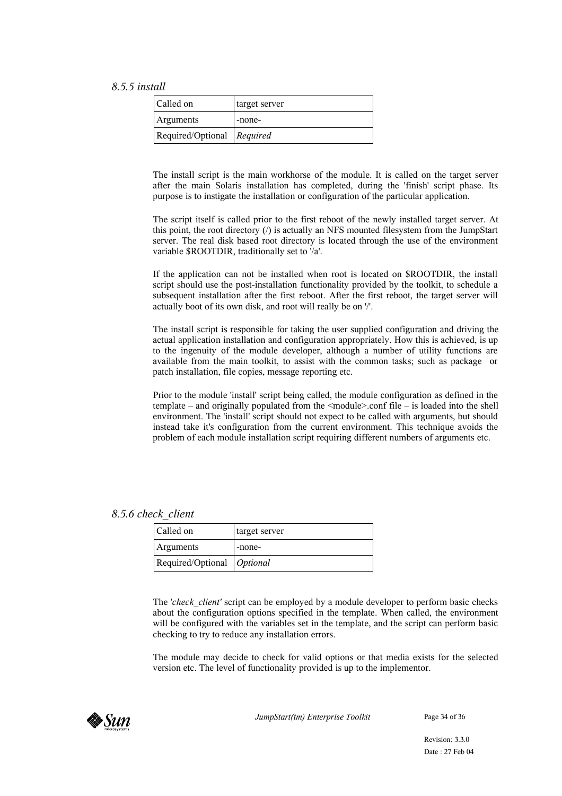#### *8.5.5 install*

| Called on                    | target server |
|------------------------------|---------------|
| <b>Arguments</b>             | -none-        |
| Required/Optional   Required |               |

The install script is the main workhorse of the module. It is called on the target server after the main Solaris installation has completed, during the 'finish' script phase. Its purpose is to instigate the installation or configuration of the particular application.

The script itself is called prior to the first reboot of the newly installed target server. At this point, the root directory  $\binom{n}{k}$  is actually an NFS mounted filesystem from the JumpStart server. The real disk based root directory is located through the use of the environment variable \$ROOTDIR, traditionally set to '/a'.

If the application can not be installed when root is located on \$ROOTDIR, the install script should use the post-installation functionality provided by the toolkit, to schedule a subsequent installation after the first reboot. After the first reboot, the target server will actually boot of its own disk, and root will really be on '/'.

The install script is responsible for taking the user supplied configuration and driving the actual application installation and configuration appropriately. How this is achieved, is up to the ingenuity of the module developer, although a number of utility functions are available from the main toolkit, to assist with the common tasks; such as package or patch installation, file copies, message reporting etc.

Prior to the module 'install' script being called, the module configuration as defined in the template – and originally populated from the <module>.conf file – is loaded into the shell environment. The 'install' script should not expect to be called with arguments, but should instead take it's configuration from the current environment. This technique avoids the problem of each module installation script requiring different numbers of arguments etc.

#### *8.5.6 check\_client*

| Called on                         | target server |
|-----------------------------------|---------------|
| <b>Arguments</b>                  | -none-        |
| Required/Optional <i>Optional</i> |               |

The '*check\_client'* script can be employed by a module developer to perform basic checks about the configuration options specified in the template. When called, the environment will be configured with the variables set in the template, and the script can perform basic checking to try to reduce any installation errors.

The module may decide to check for valid options or that media exists for the selected version etc. The level of functionality provided is up to the implementor.



*JumpStart(tm) Enterprise Toolkit* Page 34 of 36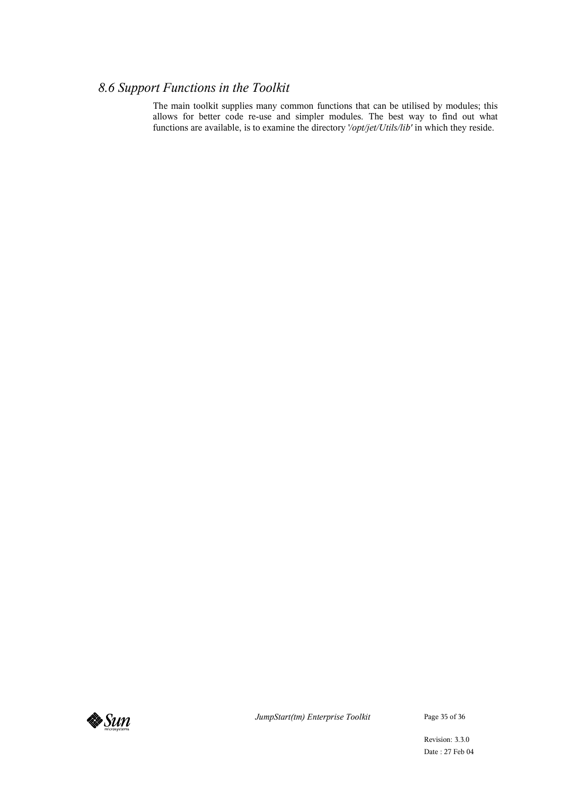## *8.6 Support Functions in the Toolkit*

The main toolkit supplies many common functions that can be utilised by modules; this allows for better code re-use and simpler modules. The best way to find out what functions are available, is to examine the directory '*/opt/jet/Utils/lib'* in which they reside.



*JumpStart(tm) Enterprise Toolkit* Page 35 of 36